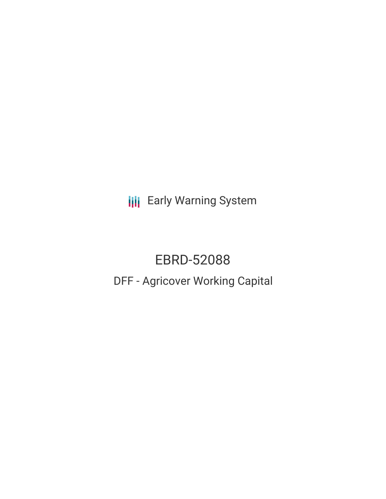**III** Early Warning System

# EBRD-52088 DFF - Agricover Working Capital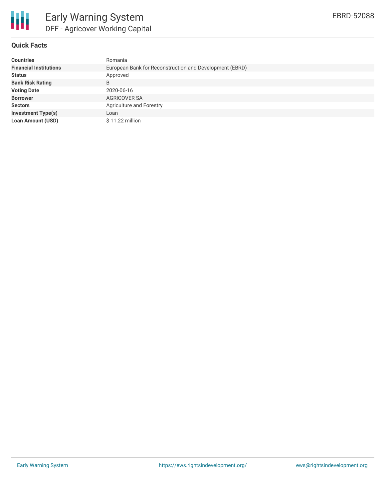

## **Quick Facts**

| <b>Countries</b>              | Romania                                                 |
|-------------------------------|---------------------------------------------------------|
| <b>Financial Institutions</b> | European Bank for Reconstruction and Development (EBRD) |
| <b>Status</b>                 | Approved                                                |
| <b>Bank Risk Rating</b>       | B                                                       |
| <b>Voting Date</b>            | 2020-06-16                                              |
| <b>Borrower</b>               | <b>AGRICOVER SA</b>                                     |
| <b>Sectors</b>                | Agriculture and Forestry                                |
| <b>Investment Type(s)</b>     | Loan                                                    |
| <b>Loan Amount (USD)</b>      | $$11.22$ million                                        |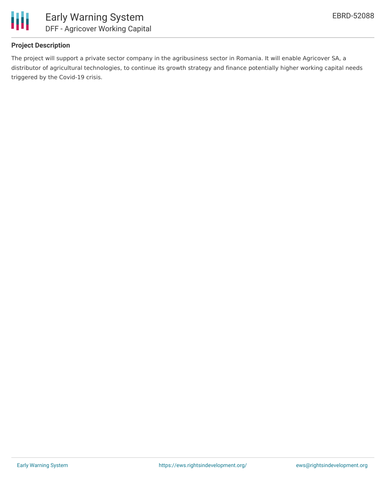

## **Project Description**

The project will support a private sector company in the agribusiness sector in Romania. It will enable Agricover SA, a distributor of agricultural technologies, to continue its growth strategy and finance potentially higher working capital needs triggered by the Covid-19 crisis.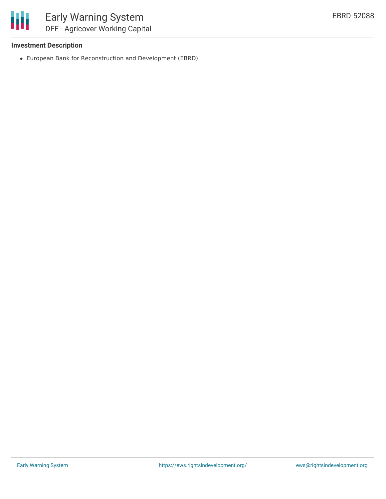

## **Investment Description**

European Bank for Reconstruction and Development (EBRD)